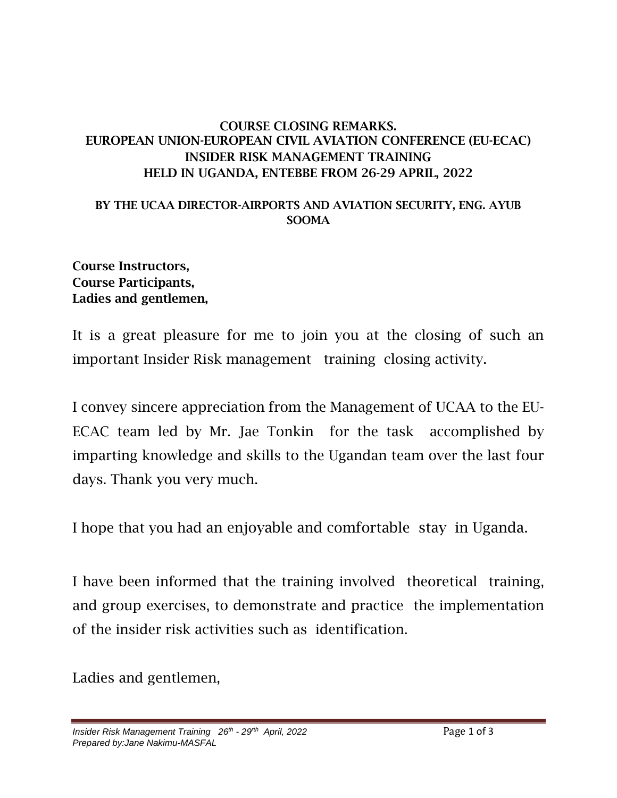## COURSE CLOSING REMARKS. EUROPEAN UNION-EUROPEAN CIVIL AVIATION CONFERENCE (EU-ECAC) INSIDER RISK MANAGEMENT TRAINING HELD IN UGANDA, ENTEBBE FROM 26-29 APRIL, 2022

## BY THE UCAA DIRECTOR-AIRPORTS AND AVIATION SECURITY, ENG. AYUB SOOMA

## Course Instructors, Course Participants, Ladies and gentlemen,

It is a great pleasure for me to join you at the closing of such an important Insider Risk management training closing activity.

I convey sincere appreciation from the Management of UCAA to the EU-ECAC team led by Mr. Jae Tonkin for the task accomplished by imparting knowledge and skills to the Ugandan team over the last four days. Thank you very much.

I hope that you had an enjoyable and comfortable stay in Uganda.

I have been informed that the training involved theoretical training, and group exercises, to demonstrate and practice the implementation of the insider risk activities such as identification.

Ladies and gentlemen,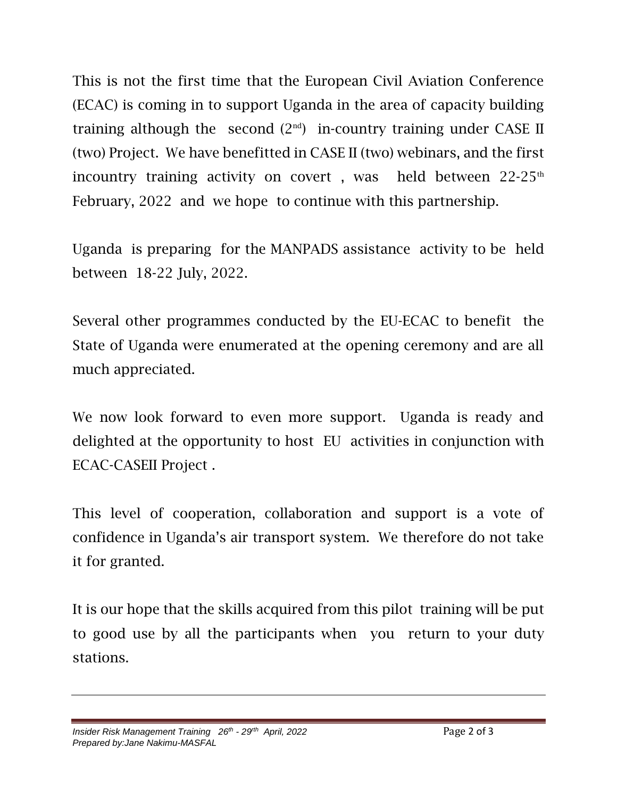This is not the first time that the European Civil Aviation Conference (ECAC) is coming in to support Uganda in the area of capacity building training although the second  $(2<sup>nd</sup>)$  in-country training under CASE II (two) Project. We have benefitted in CASE II (two) webinars, and the first incountry training activity on covert, was held between  $22-25<sup>th</sup>$ February, 2022 and we hope to continue with this partnership.

Uganda is preparing for the MANPADS assistance activity to be held between 18-22 July, 2022.

Several other programmes conducted by the EU-ECAC to benefit the State of Uganda were enumerated at the opening ceremony and are all much appreciated.

We now look forward to even more support. Uganda is ready and delighted at the opportunity to host EU activities in conjunction with ECAC-CASEII Project .

This level of cooperation, collaboration and support is a vote of confidence in Uganda's air transport system. We therefore do not take it for granted.

It is our hope that the skills acquired from this pilot training will be put to good use by all the participants when you return to your duty stations.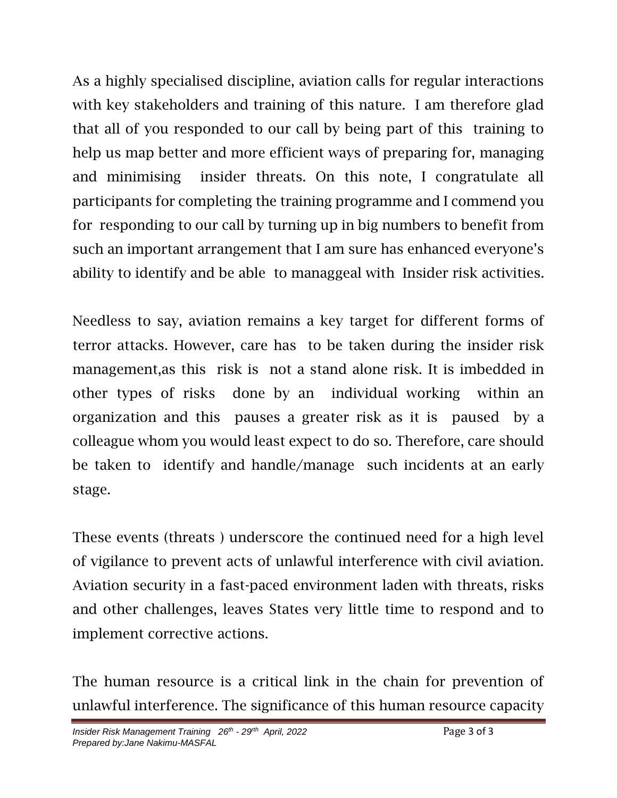As a highly specialised discipline, aviation calls for regular interactions with key stakeholders and training of this nature. I am therefore glad that all of you responded to our call by being part of this training to help us map better and more efficient ways of preparing for, managing and minimising insider threats. On this note, I congratulate all participants for completing the training programme and I commend you for responding to our call by turning up in big numbers to benefit from such an important arrangement that I am sure has enhanced everyone's ability to identify and be able to managgeal with Insider risk activities.

Needless to say, aviation remains a key target for different forms of terror attacks. However, care has to be taken during the insider risk management,as this risk is not a stand alone risk. It is imbedded in other types of risks done by an individual working within an organization and this pauses a greater risk as it is paused by a colleague whom you would least expect to do so. Therefore, care should be taken to identify and handle/manage such incidents at an early stage.

These events (threats ) underscore the continued need for a high level of vigilance to prevent acts of unlawful interference with civil aviation. Aviation security in a fast-paced environment laden with threats, risks and other challenges, leaves States very little time to respond and to implement corrective actions.

The human resource is a critical link in the chain for prevention of unlawful interference. The significance of this human resource capacity